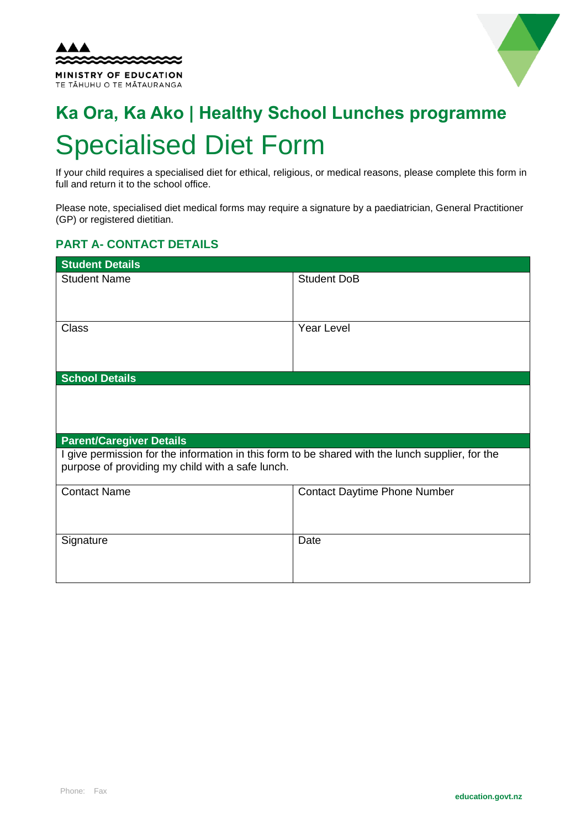



# **Ka Ora, Ka Ako | Healthy School Lunches programme** Specialised Diet Form

If your child requires a specialised diet for ethical, religious, or medical reasons, please complete this form in full and return it to the school office.

Please note, specialised diet medical forms may require a signature by a paediatrician, General Practitioner (GP) or registered dietitian.

## **PART A- CONTACT DETAILS**

| <b>Student Details</b>                                                                                                                               |                                     |  |
|------------------------------------------------------------------------------------------------------------------------------------------------------|-------------------------------------|--|
| <b>Student Name</b>                                                                                                                                  | <b>Student DoB</b>                  |  |
| <b>Class</b>                                                                                                                                         | <b>Year Level</b>                   |  |
| <b>School Details</b>                                                                                                                                |                                     |  |
|                                                                                                                                                      |                                     |  |
| <b>Parent/Caregiver Details</b>                                                                                                                      |                                     |  |
| I give permission for the information in this form to be shared with the lunch supplier, for the<br>purpose of providing my child with a safe lunch. |                                     |  |
| <b>Contact Name</b>                                                                                                                                  | <b>Contact Daytime Phone Number</b> |  |
| Signature                                                                                                                                            | Date                                |  |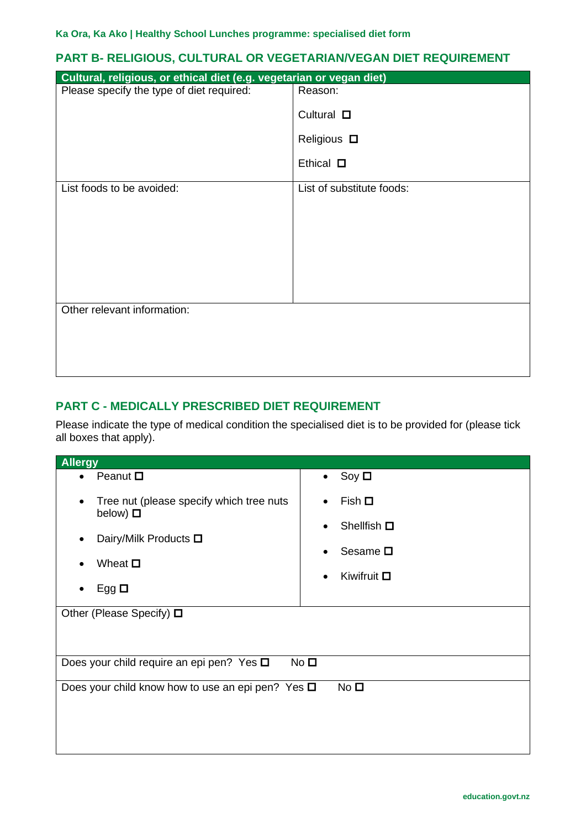#### **PART B- RELIGIOUS, CULTURAL OR VEGETARIAN/VEGAN DIET REQUIREMENT**

| Cultural, religious, or ethical diet (e.g. vegetarian or vegan diet) |                           |  |
|----------------------------------------------------------------------|---------------------------|--|
| Please specify the type of diet required:                            | Reason:                   |  |
|                                                                      | Cultural $\square$        |  |
|                                                                      | Religious $\square$       |  |
|                                                                      | Ethical $\square$         |  |
| List foods to be avoided:                                            | List of substitute foods: |  |
|                                                                      |                           |  |
|                                                                      |                           |  |
|                                                                      |                           |  |
|                                                                      |                           |  |
| Other relevant information:                                          |                           |  |
|                                                                      |                           |  |
|                                                                      |                           |  |
|                                                                      |                           |  |

### **PART C - MEDICALLY PRESCRIBED DIET REQUIREMENT**

Please indicate the type of medical condition the specialised diet is to be provided for (please tick all boxes that apply).

| <b>Allergy</b>                                                               |                               |  |
|------------------------------------------------------------------------------|-------------------------------|--|
| Peanut $\square$                                                             | Soy $\Box$<br>$\bullet$       |  |
| Tree nut (please specify which tree nuts<br>below) $\square$                 | Fish $\Box$<br>$\bullet$      |  |
|                                                                              | Shellfish $\square$           |  |
| Dairy/Milk Products □                                                        | Sesame $\square$              |  |
| Wheat $\square$                                                              | Kiwifruit $\Box$<br>$\bullet$ |  |
| Egg $\Box$                                                                   |                               |  |
| Other (Please Specify) $\Box$                                                |                               |  |
|                                                                              |                               |  |
| No <sub>1</sub><br>Does your child require an epi pen? Yes $\square$         |                               |  |
| No <sub>1</sub><br>Does your child know how to use an epi pen? Yes $\square$ |                               |  |
|                                                                              |                               |  |
|                                                                              |                               |  |
|                                                                              |                               |  |